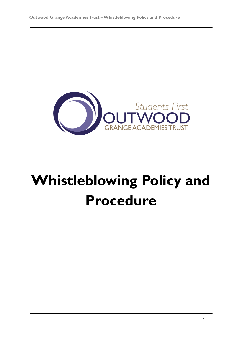

# **Whistleblowing Policy and Procedure**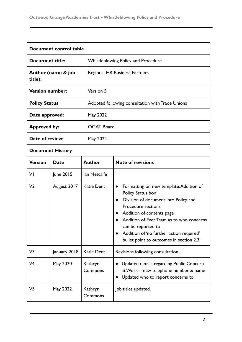| Document control table        |              |                    |                                                                                                                                                                                                                                                                                                                                                   |  |
|-------------------------------|--------------|--------------------|---------------------------------------------------------------------------------------------------------------------------------------------------------------------------------------------------------------------------------------------------------------------------------------------------------------------------------------------------|--|
| <b>Document title:</b>        |              |                    | <b>Whistleblowing Policy and Procedure</b>                                                                                                                                                                                                                                                                                                        |  |
| Author (name & job<br>title): |              |                    | <b>Regional HR Business Partners</b>                                                                                                                                                                                                                                                                                                              |  |
| <b>Version number:</b>        |              | Version 5          |                                                                                                                                                                                                                                                                                                                                                   |  |
| <b>Policy Status</b>          |              |                    | Adopted following consultation with Trade Unions                                                                                                                                                                                                                                                                                                  |  |
| Date approved:                |              | May 2022           |                                                                                                                                                                                                                                                                                                                                                   |  |
| <b>Approved by:</b>           |              |                    | <b>OGAT Board</b>                                                                                                                                                                                                                                                                                                                                 |  |
| Date of review:               |              | May 2024           |                                                                                                                                                                                                                                                                                                                                                   |  |
| <b>Document History</b>       |              |                    |                                                                                                                                                                                                                                                                                                                                                   |  |
| <b>Version</b>                | <b>Date</b>  | <b>Author</b>      | <b>Note of revisions</b>                                                                                                                                                                                                                                                                                                                          |  |
| VI                            | June 2015    | lan Metcalfe       |                                                                                                                                                                                                                                                                                                                                                   |  |
| V <sub>2</sub>                | August 2017  | <b>Katie Dent</b>  | Formatting on new template. Addition of<br>$\bullet$<br>Policy Status box<br>Division of document into Policy and<br>$\bullet$<br><b>Procedure sections</b><br>Addition of contents page<br>Addition of Exec Team as to who concerns<br>can be reported to<br>Addition of 'no further action required'<br>bullet point to outcomes in section 2.3 |  |
| V3                            | January 2018 | <b>Katie Dent</b>  | Revisions following consultation                                                                                                                                                                                                                                                                                                                  |  |
| V <sub>4</sub>                | May 2020     | Kathryn<br>Commons | Updated details regarding Public Concern<br>at Work - new telephone number & name<br>Updated who to report concerns to                                                                                                                                                                                                                            |  |
| V5                            | May 2022     | Kathryn<br>Commons | Job titles updated.                                                                                                                                                                                                                                                                                                                               |  |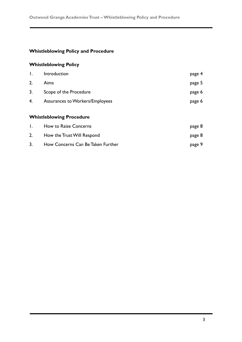# **Whistleblowing Policy and Procedure**

# **Whistleblowing Policy**

| $\mathbf{I}$ . | Introduction                           | page 4 |
|----------------|----------------------------------------|--------|
| 2.             | Aims                                   | page 5 |
| 3.             | Scope of the Procedure                 | page 6 |
| 4.             | <b>Assurances to Workers/Employees</b> | page 6 |
|                |                                        |        |
|                | <b>Whistleblowing Procedure</b>        |        |
| $\mathsf{I}$ . | How to Raise Concerns                  | page 8 |
| 2.             | How the Trust Will Respond             | page 8 |
| 3.             | How Concerns Can Be Taken Further      | page 9 |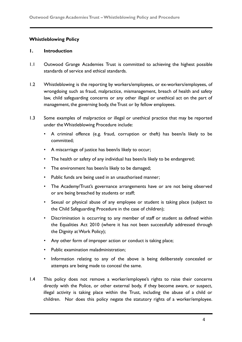#### **Whistleblowing Policy**

#### **1. Introduction**

- 1.1 Outwood Grange Academies Trust is committed to achieving the highest possible standards of service and ethical standards.
- 1.2 Whistleblowing is the reporting by workers/employees, or ex-workers/employees, of wrongdoing such as fraud, malpractice, mismanagement, breach of health and safety law, child safeguarding concerns or any other illegal or unethical act on the part of management, the governing body, the Trust or by fellow employees.
- 1.3 Some examples of malpractice or illegal or unethical practice that may be reported under the Whistleblowing Procedure include:
	- A criminal offence (e.g. fraud, corruption or theft) has been/is likely to be committed;
	- A miscarriage of justice has been/is likely to occur;
	- The health or safety of any individual has been/is likely to be endangered;
	- The environment has been/is likely to be damaged;
	- Public funds are being used in an unauthorised manner;
	- The Academy/Trust's governance arrangements have or are not being observed or are being breached by students or staff;
	- Sexual or physical abuse of any employee or student is taking place (subject to the Child Safeguarding Procedure in the case of children);
	- Discrimination is occurring to any member of staff or student as defined within the Equalities Act 2010 (where it has not been successfully addressed through the Dignity at Work Policy);
	- Any other form of improper action or conduct is taking place;
	- Public examination maladministration;
	- Information relating to any of the above is being deliberately concealed or attempts are being made to conceal the same.
- 1.4 This policy does not remove a worker/employee's rights to raise their concerns directly with the Police, or other external body, if they become aware, or suspect, illegal activity is taking place within the Trust, including the abuse of a child or children. Nor does this policy negate the statutory rights of a worker/employee.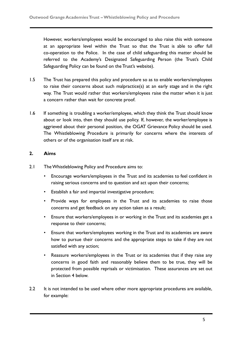However, workers/employees would be encouraged to also raise this with someone at an appropriate level within the Trust so that the Trust is able to offer full co-operation to the Police. In the case of child safeguarding this matter should be referred to the Academy's Designated Safeguarding Person (the Trust's Child Safeguarding Policy can be found on the Trust's website).

- 1.5 The Trust has prepared this policy and procedure so as to enable workers/employees to raise their concerns about such malpractice(s) at an early stage and in the right way. The Trust would rather that workers/employees raise the matter when it is just a concern rather than wait for concrete proof.
- 1.6 If something is troubling a worker/employee, which they think the Trust should know about or look into, then they should use policy. If, however, the worker/employee is aggrieved about their personal position, the OGAT Grievance Policy should be used. The Whistleblowing Procedure is primarily for concerns where the interests of others or of the organisation itself are at risk.

# **2. Aims**

- 2.1 The Whistleblowing Policy and Procedure aims to:
	- Encourage workers/employees in the Trust and its academies to feel confident in raising serious concerns and to question and act upon their concerns;
	- Establish a fair and impartial investigative procedure;
	- Provide ways for employees in the Trust and its academies to raise those concerns and get feedback on any action taken as a result;
	- Ensure that workers/employees in or working in the Trust and its academies get a response to their concerns;
	- Ensure that workers/employees working in the Trust and its academies are aware how to pursue their concerns and the appropriate steps to take if they are not satisfied with any action;
	- Reassure workers/employees in the Trust or its academies that if they raise any concerns in good faith and reasonably believe them to be true, they will be protected from possible reprisals or victimisation. These assurances are set out in Section 4 below.
- 2.2 It is not intended to be used where other more appropriate procedures are available, for example: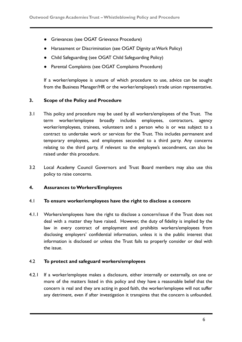- Grievances (see OGAT Grievance Procedure)
- Harassment or Discrimination (see OGAT Dignity at Work Policy)
- Child Safeguarding (see OGAT Child Safeguarding Policy)
- Parental Complaints (see OGAT Complaints Procedure)

If a worker/employee is unsure of which procedure to use, advice can be sought from the Business Manager/HR or the worker/employee's trade union representative.

### **3. Scope of the Policy and Procedure**

- 3.1 This policy and procedure may be used by all workers/employees of the Trust. The term worker/employee broadly includes employees, contractors, agency worker/employees, trainees, volunteers and a person who is or was subject to a contract to undertake work or services for the Trust. This includes permanent and temporary employees, and employees seconded to a third party. Any concerns relating to the third party, if relevant to the employee's secondment, can also be raised under this procedure.
- 3.2 Local Academy Council Governors and Trust Board members may also use this policy to raise concerns.

#### **4. Assurances to Workers/Employees**

#### 4.1 **To ensure worker/employees have the right to disclose a concern**

4.1.1 Workers/employees have the right to disclose a concern/issue if the Trust does not deal with a matter they have raised. However, the duty of fidelity is implied by the law in every contract of employment and prohibits workers/employees from disclosing employers' confidential information, unless it is the public interest that information is disclosed or unless the Trust fails to properly consider or deal with the issue.

#### 4.2 **To protect and safeguard workers/employees**

4.2.1 If a worker/employee makes a disclosure, either internally or externally, on one or more of the matters listed in this policy and they have a reasonable belief that the concern is real and they are acting in good faith, the worker/employee will not suffer any detriment, even if after investigation it transpires that the concern is unfounded.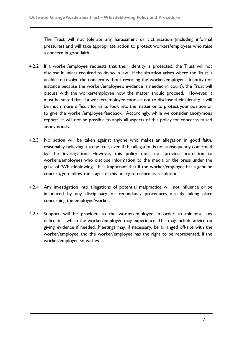The Trust will not tolerate any harassment or victimisation (including informal pressures) and will take appropriate action to protect workers/employees who raise a concern in good faith.

- 4.2.2 If a worker/employee requests that their identity is protected, the Trust will not disclose it unless required to do so in law. If the situation arises where the Trust is unable to resolve the concern without revealing the worker/employees' identity (for instance because the worker/employee's evidence is needed in court), the Trust will discuss with the worker/employee how the matter should proceed. However, it must be stated that if a worker/employee chooses not to disclose their identity it will be much more difficult for us to look into the matter or to protect your position or to give the worker/employee feedback. Accordingly, while we consider anonymous reports, it will not be possible to apply all aspects of this policy for concerns raised anonymously.
- 4.2.3 No action will be taken against anyone who makes an allegation in good faith, reasonably believing it to be true, even if the allegation is not subsequently confirmed by the investigation. However, this policy does not provide protection to workers/employees who disclose information to the media or the press under the guise of 'Whistleblowing'. It is important that if the worker/employee has a genuine concern, you follow the stages of this policy to ensure its resolution.
- 4.2.4 Any investigation into allegations of potential malpractice will not influence or be influenced by any disciplinary or redundancy procedures already taking place concerning the employee/worker.
- 4.2.5 Support will be provided to the worker/employee in order to minimise any difficulties, which the worker/employee may experience. This may include advice on giving evidence if needed. Meetings may, if necessary, be arranged off-site with the worker/employee and the worker/employee has the right to be represented, if the worker/employee so wishes.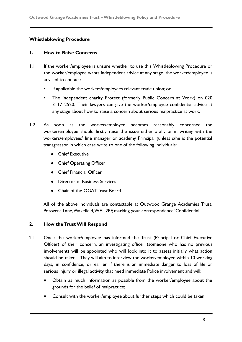# **Whistleblowing Procedure**

#### **1. How to Raise Concerns**

- 1.1 If the worker/employee is unsure whether to use this Whistleblowing Procedure or the worker/employee wants independent advice at any stage, the worker/employee is advised to contact:
	- If applicable the workers/employees relevant trade union; or
	- The independent charity Protect (formerly Public Concern at Work) on 020 3117 2520. Their lawyers can give the worker/employee confidential advice at any stage about how to raise a concern about serious malpractice at work.
- 1.2 As soon as the worker/employee becomes reasonably concerned the worker/employee should firstly raise the issue either orally or in writing with the workers/employees' line manager or academy Principal (unless s/he is the potential transgressor, in which case write to one of the following individuals:
	- Chief Executive
	- Chief Operating Officer
	- Chief Financial Officer
	- Director of Business Services
	- Chair of the OGAT Trust Board

All of the above individuals are contactable at Outwood Grange Academies Trust, Potovens Lane,Wakefield,WF1 2PF, marking your correspondence 'Confidential'.

#### **2. How the Trust Will Respond**

- 2.1 Once the worker/employee has informed the Trust (Principal or Chief Executive Officer) of their concern, an investigating officer (someone who has no previous involvement) will be appointed who will look into it to assess initially what action should be taken. They will aim to interview the worker/employee within 10 working days, in confidence, or earlier if there is an immediate danger to loss of life or serious injury or illegal activity that need immediate Police involvement and will:
	- Obtain as much information as possible from the worker/employee about the grounds for the belief of malpractice;
	- Consult with the worker/employee about further steps which could be taken;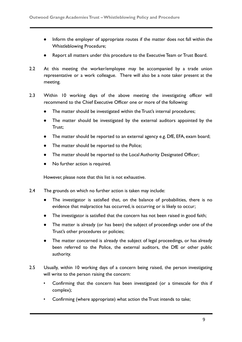- Inform the employer of appropriate routes if the matter does not fall within the Whistleblowing Procedure;
- Report all matters under this procedure to the Executive Team or Trust Board.
- 2.2 At this meeting the worker/employee may be accompanied by a trade union representative or a work colleague. There will also be a note taker present at the meeting.
- 2.3 Within 10 working days of the above meeting the investigating officer will recommend to the Chief Executive Officer one or more of the following:
	- The matter should be investigated within the Trust's internal procedures;
	- The matter should be investigated by the external auditors appointed by the Trust;
	- The matter should be reported to an external agency e.g. DfE, EFA, exam board;
	- The matter should be reported to the Police;
	- The matter should be reported to the Local Authority Designated Officer;
	- No further action is required.

However, please note that this list is not exhaustive.

- 2.4 The grounds on which no further action is taken may include:
	- The investigator is satisfied that, on the balance of probabilities, there is no evidence that malpractice has occurred, is occurring or is likely to occur;
	- The investigator is satisfied that the concern has not been raised in good faith;
	- The matter is already (or has been) the subject of proceedings under one of the Trust's other procedures or policies;
	- The matter concerned is already the subject of legal proceedings, or has already been referred to the Police, the external auditors, the DfE or other public authority.
- 2.5 Usually, within 10 working days of a concern being raised, the person investigating will write to the person raising the concern:
	- Confirming that the concern has been investigated (or a timescale for this if complex);
	- Confirming (where appropriate) what action the Trust intends to take;